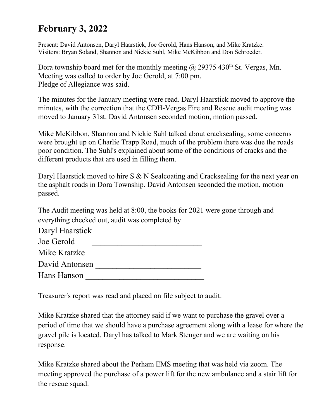## **February 3, 2022**

Present: David Antonsen, Daryl Haarstick, Joe Gerold, Hans Hanson, and Mike Kratzke. Visitors: Bryan Soland, Shannon and Nickie Suhl, Mike McKibbon and Don Schroeder.

Dora township board met for the monthly meeting  $\omega$  29375 430<sup>th</sup> St. Vergas, Mn. Meeting was called to order by Joe Gerold, at 7:00 pm. Pledge of Allegiance was said.

The minutes for the January meeting were read. Daryl Haarstick moved to approve the minutes, with the correction that the CDH-Vergas Fire and Rescue audit meeting was moved to January 31st. David Antonsen seconded motion, motion passed.

Mike McKibbon, Shannon and Nickie Suhl talked about cracksealing, some concerns were brought up on Charlie Trapp Road, much of the problem there was due the roads poor condition. The Suhl's explained about some of the conditions of cracks and the different products that are used in filling them.

Daryl Haarstick moved to hire S & N Sealcoating and Cracksealing for the next year on the asphalt roads in Dora Township. David Antonsen seconded the motion, motion passed.

The Audit meeting was held at 8:00, the books for 2021 were gone through and everything checked out, audit was completed by

| Daryl Haarstick |  |
|-----------------|--|
| Joe Gerold      |  |
| Mike Kratzke    |  |
| David Antonsen  |  |
| Hans Hanson     |  |

Treasurer's report was read and placed on file subject to audit.

Mike Kratzke shared that the attorney said if we want to purchase the gravel over a period of time that we should have a purchase agreement along with a lease for where the gravel pile is located. Daryl has talked to Mark Stenger and we are waiting on his response.

Mike Kratzke shared about the Perham EMS meeting that was held via zoom. The meeting approved the purchase of a power lift for the new ambulance and a stair lift for the rescue squad.